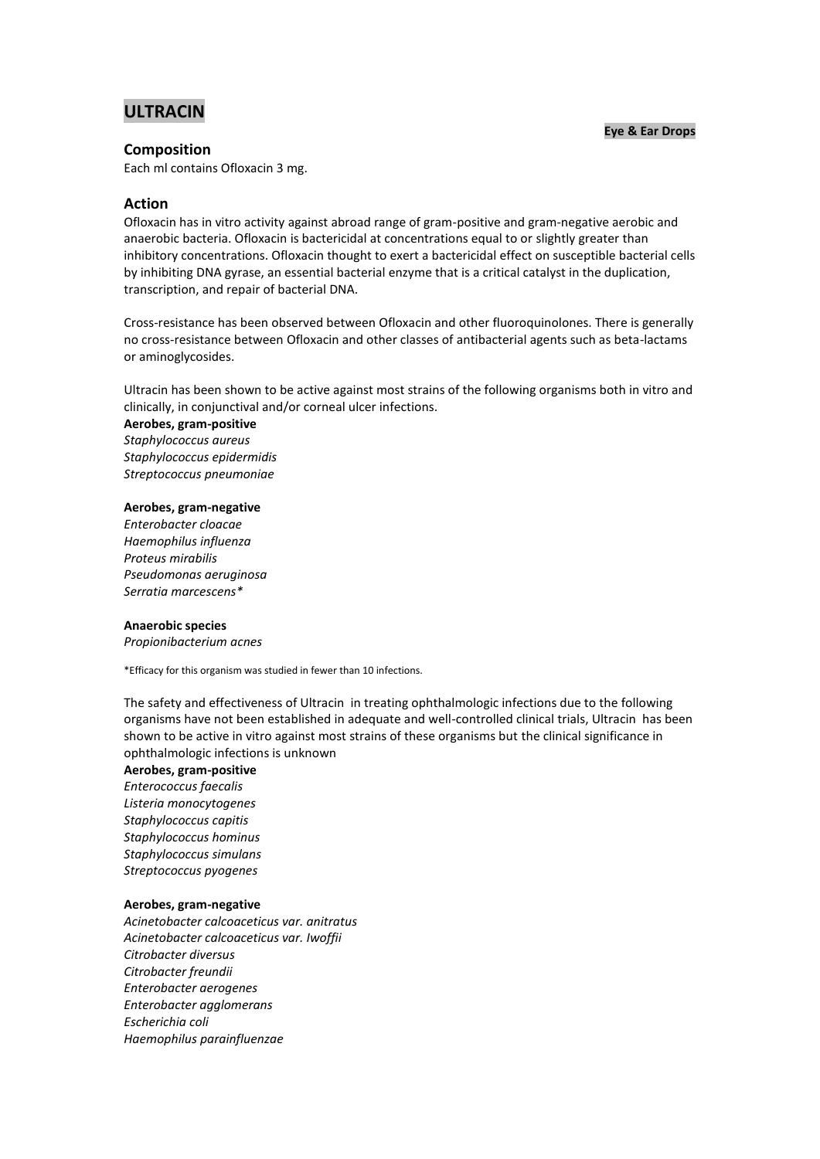# **ULTRACIN**

### **Eye & Ear Drops**

### **Composition**

Each ml contains Ofloxacin 3 mg.

# **Action**

Ofloxacin has in vitro activity against abroad range of gram-positive and gram-negative aerobic and anaerobic bacteria. Ofloxacin is bactericidal at concentrations equal to or slightly greater than inhibitory concentrations. Ofloxacin thought to exert a bactericidal effect on susceptible bacterial cells by inhibiting DNA gyrase, an essential bacterial enzyme that is a critical catalyst in the duplication, transcription, and repair of bacterial DNA.

Cross-resistance has been observed between Ofloxacin and other fluoroquinolones. There is generally no cross-resistance between Ofloxacin and other classes of antibacterial agents such as beta-lactams or aminoglycosides.

Ultracin has been shown to be active against most strains of the following organisms both in vitro and clinically, in conjunctival and/or corneal ulcer infections.

**Aerobes, gram-positive** *Staphylococcus aureus Staphylococcus epidermidis Streptococcus pneumoniae*

### **Aerobes, gram-negative**

*Enterobacter cloacae Haemophilus influenza Proteus mirabilis Pseudomonas aeruginosa Serratia marcescens\**

### **Anaerobic species**

*Propionibacterium acnes*

\*Efficacy for this organism was studied in fewer than 10 infections.

The safety and effectiveness of Ultracin in treating ophthalmologic infections due to the following organisms have not been established in adequate and well-controlled clinical trials, Ultracin has been shown to be active in vitro against most strains of these organisms but the clinical significance in ophthalmologic infections is unknown

#### **Aerobes, gram-positive**

*Enterococcus faecalis Listeria monocytogenes Staphylococcus capitis Staphylococcus hominus Staphylococcus simulans Streptococcus pyogenes*

### **Aerobes, gram-negative**

*Acinetobacter calcoaceticus var. anitratus Acinetobacter calcoaceticus var. Iwoffii Citrobacter diversus Citrobacter freundii Enterobacter aerogenes Enterobacter agglomerans Escherichia coli Haemophilus parainfluenzae*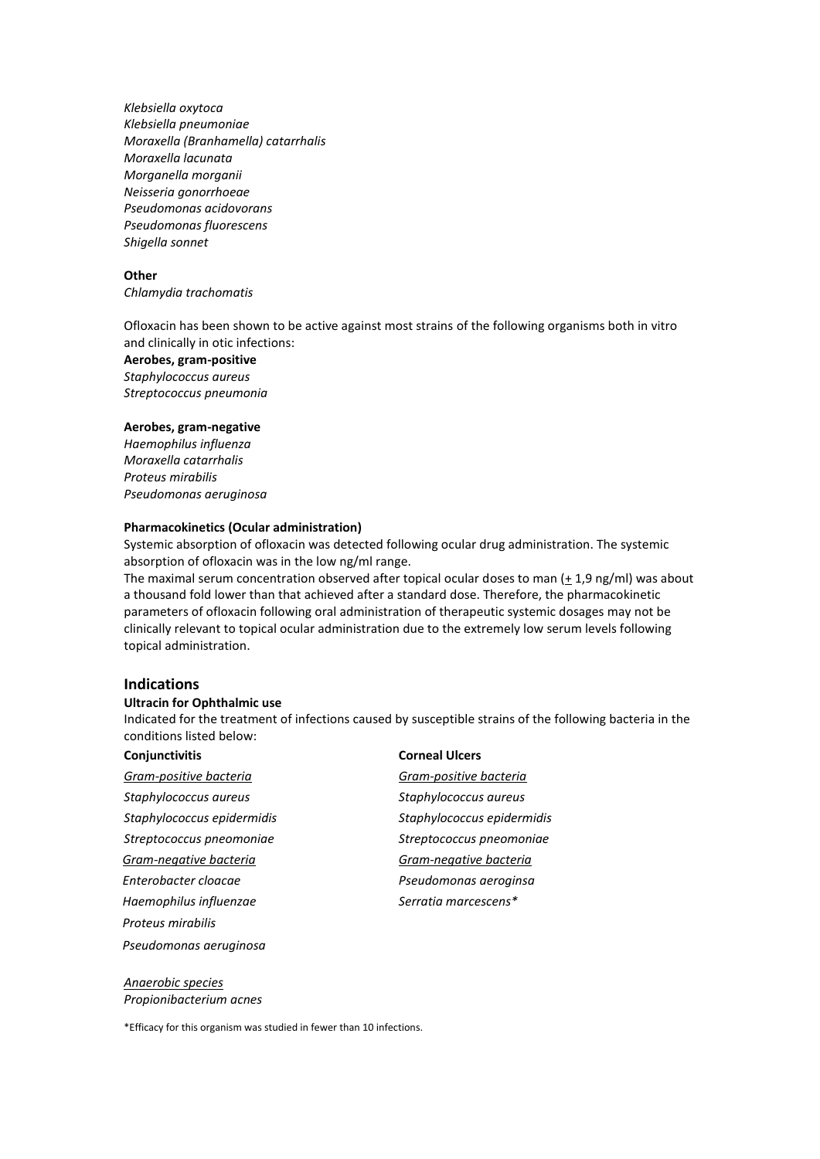*Klebsiella oxytoca Klebsiella pneumoniae Moraxella (Branhamella) catarrhalis Moraxella lacunata Morganella morganii Neisseria gonorrhoeae Pseudomonas acidovorans Pseudomonas fluorescens Shigella sonnet*

#### **Other**

*Chlamydia trachomatis* 

Ofloxacin has been shown to be active against most strains of the following organisms both in vitro and clinically in otic infections:

**Aerobes, gram-positive** *Staphylococcus aureus Streptococcus pneumonia* 

### **Aerobes, gram-negative**

*Haemophilus influenza Moraxella catarrhalis Proteus mirabilis Pseudomonas aeruginosa* 

#### **Pharmacokinetics (Ocular administration)**

Systemic absorption of ofloxacin was detected following ocular drug administration. The systemic absorption of ofloxacin was in the low ng/ml range.

The maximal serum concentration observed after topical ocular doses to man  $(+ 1.9 \text{ ng/ml})$  was about a thousand fold lower than that achieved after a standard dose. Therefore, the pharmacokinetic parameters of ofloxacin following oral administration of therapeutic systemic dosages may not be clinically relevant to topical ocular administration due to the extremely low serum levels following topical administration.

# **Indications**

#### **Ultracin for Ophthalmic use**

Indicated for the treatment of infections caused by susceptible strains of the following bacteria in the conditions listed below:

| <b>Conjunctivitis</b>      |
|----------------------------|
| Gram-positive bacteria     |
| Staphylococcus aureus      |
| Staphylococcus epidermidis |
| Streptococcus pneomoniae   |
| Gram-negative bacteria     |
| Enterobacter cloacae       |
| Haemophilus influenzae     |
| Proteus mirabilis          |
| Pseudomonas aeruginosa     |
|                            |

#### **Corneal Ulcers**

*Gram-positive bacteria Gram-positive bacteria Staphylococcus aureus Staphylococcus aureus Staphylococcus epidermidis Staphylococcus epidermidis Streptococcus pneomoniae Streptococcus pneomoniae Gram-negative bacteria Gram-negative bacteria Enterobacter cloacae Pseudomonas aeroginsa Haemophilus influenzae Serratia marcescens\**

*Anaerobic species Propionibacterium acnes*

\*Efficacy for this organism was studied in fewer than 10 infections.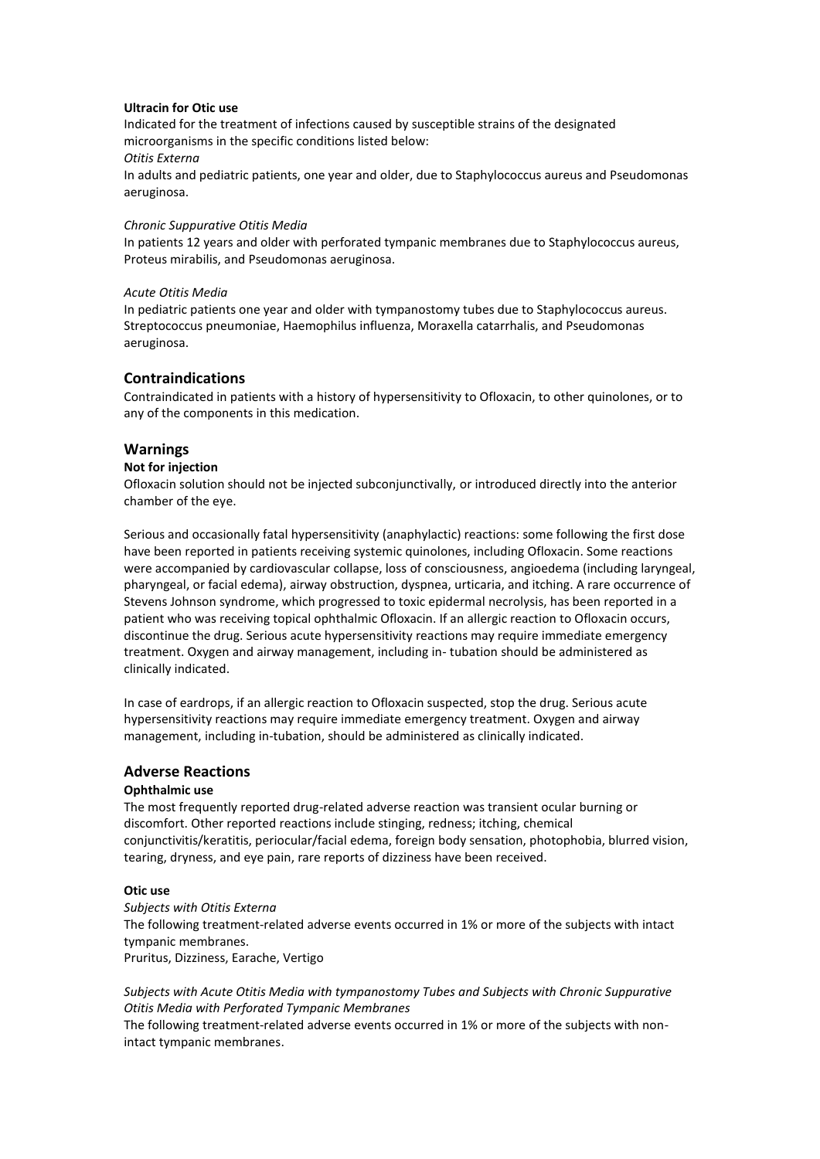### **Ultracin for Otic use**

Indicated for the treatment of infections caused by susceptible strains of the designated microorganisms in the specific conditions listed below: *Otitis Externa* In adults and pediatric patients, one year and older, due to Staphylococcus aureus and Pseudomonas aeruginosa.

*Chronic Suppurative Otitis Media*

In patients 12 years and older with perforated tympanic membranes due to Staphylococcus aureus, Proteus mirabilis, and Pseudomonas aeruginosa.

### *Acute Otitis Media*

In pediatric patients one year and older with tympanostomy tubes due to Staphylococcus aureus. Streptococcus pneumoniae, Haemophilus influenza, Moraxella catarrhalis, and Pseudomonas aeruginosa.

### **Contraindications**

Contraindicated in patients with a history of hypersensitivity to Ofloxacin, to other quinolones, or to any of the components in this medication.

### **Warnings**

### **Not for injection**

Ofloxacin solution should not be injected subconjunctivally, or introduced directly into the anterior chamber of the eye.

Serious and occasionally fatal hypersensitivity (anaphylactic) reactions: some following the first dose have been reported in patients receiving systemic quinolones, including Ofloxacin. Some reactions were accompanied by cardiovascular collapse, loss of consciousness, angioedema (including laryngeal, pharyngeal, or facial edema), airway obstruction, dyspnea, urticaria, and itching. A rare occurrence of Stevens Johnson syndrome, which progressed to toxic epidermal necrolysis, has been reported in a patient who was receiving topical ophthalmic Ofloxacin. If an allergic reaction to Ofloxacin occurs, discontinue the drug. Serious acute hypersensitivity reactions may require immediate emergency treatment. Oxygen and airway management, including in- tubation should be administered as clinically indicated.

In case of eardrops, if an allergic reaction to Ofloxacin suspected, stop the drug. Serious acute hypersensitivity reactions may require immediate emergency treatment. Oxygen and airway management, including in-tubation, should be administered as clinically indicated.

### **Adverse Reactions**

### **Ophthalmic use**

The most frequently reported drug-related adverse reaction was transient ocular burning or discomfort. Other reported reactions include stinging, redness; itching, chemical conjunctivitis/keratitis, periocular/facial edema, foreign body sensation, photophobia, blurred vision, tearing, dryness, and eye pain, rare reports of dizziness have been received.

### **Otic use**

*Subjects with Otitis Externa*

The following treatment-related adverse events occurred in 1% or more of the subjects with intact tympanic membranes.

Pruritus, Dizziness, Earache, Vertigo

*Subjects with Acute Otitis Media with tympanostomy Tubes and Subjects with Chronic Suppurative Otitis Media with Perforated Tympanic Membranes*

The following treatment-related adverse events occurred in 1% or more of the subjects with nonintact tympanic membranes.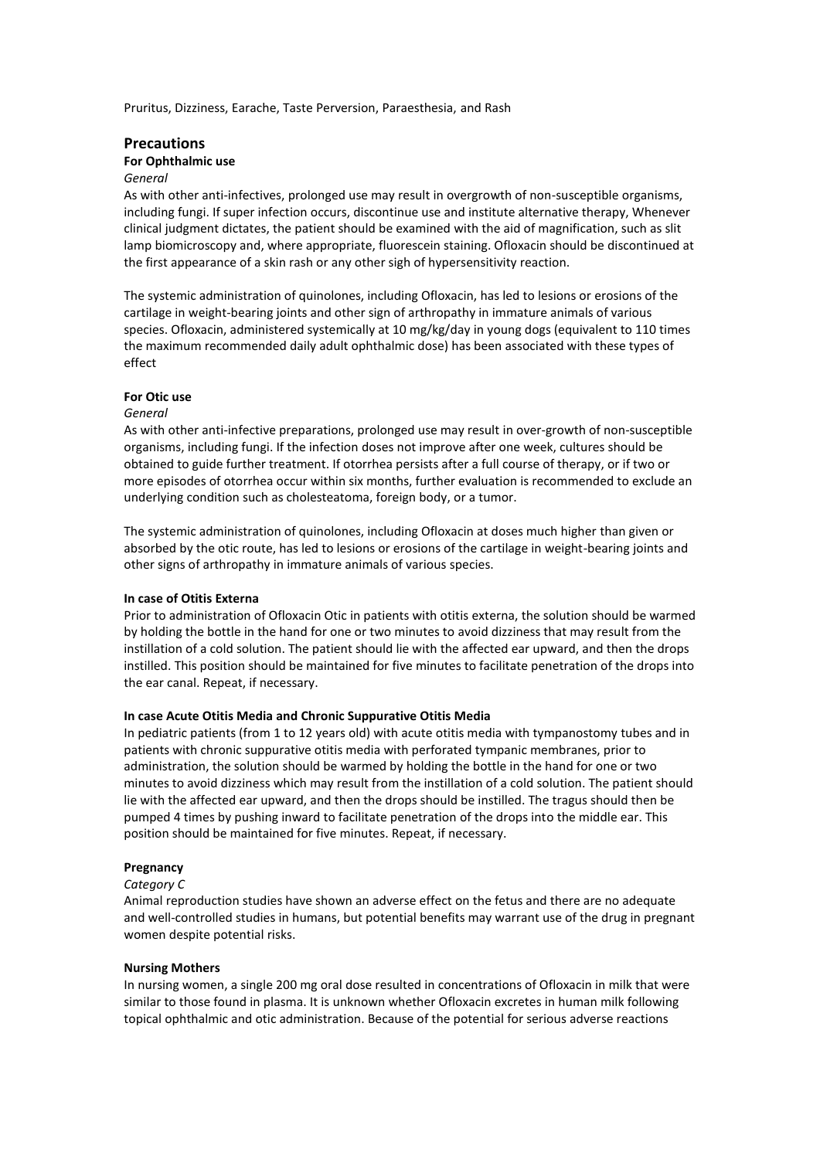Pruritus, Dizziness, Earache, Taste Perversion, Paraesthesia, and Rash

# **Precautions**

### **For Ophthalmic use**

# *General*

As with other anti-infectives, prolonged use may result in overgrowth of non-susceptible organisms, including fungi. If super infection occurs, discontinue use and institute alternative therapy, Whenever clinical judgment dictates, the patient should be examined with the aid of magnification, such as slit lamp biomicroscopy and, where appropriate, fluorescein staining. Ofloxacin should be discontinued at the first appearance of a skin rash or any other sigh of hypersensitivity reaction.

The systemic administration of quinolones, including Ofloxacin, has led to lesions or erosions of the cartilage in weight-bearing joints and other sign of arthropathy in immature animals of various species. Ofloxacin, administered systemically at 10 mg/kg/day in young dogs (equivalent to 110 times the maximum recommended daily adult ophthalmic dose) has been associated with these types of effect

#### **For Otic use**

#### *General*

As with other anti-infective preparations, prolonged use may result in over-growth of non-susceptible organisms, including fungi. If the infection doses not improve after one week, cultures should be obtained to guide further treatment. If otorrhea persists after a full course of therapy, or if two or more episodes of otorrhea occur within six months, further evaluation is recommended to exclude an underlying condition such as cholesteatoma, foreign body, or a tumor.

The systemic administration of quinolones, including Ofloxacin at doses much higher than given or absorbed by the otic route, has led to lesions or erosions of the cartilage in weight-bearing joints and other signs of arthropathy in immature animals of various species.

### **In case of Otitis Externa**

Prior to administration of Ofloxacin Otic in patients with otitis externa, the solution should be warmed by holding the bottle in the hand for one or two minutes to avoid dizziness that may result from the instillation of a cold solution. The patient should lie with the affected ear upward, and then the drops instilled. This position should be maintained for five minutes to facilitate penetration of the drops into the ear canal. Repeat, if necessary.

### **In case Acute Otitis Media and Chronic Suppurative Otitis Media**

In pediatric patients (from 1 to 12 years old) with acute otitis media with tympanostomy tubes and in patients with chronic suppurative otitis media with perforated tympanic membranes, prior to administration, the solution should be warmed by holding the bottle in the hand for one or two minutes to avoid dizziness which may result from the instillation of a cold solution. The patient should lie with the affected ear upward, and then the drops should be instilled. The tragus should then be pumped 4 times by pushing inward to facilitate penetration of the drops into the middle ear. This position should be maintained for five minutes. Repeat, if necessary.

### **Pregnancy**

#### *Category C*

Animal reproduction studies have shown an adverse effect on the fetus and there are no adequate and well-controlled studies in humans, but potential benefits may warrant use of the drug in pregnant women despite potential risks.

#### **Nursing Mothers**

In nursing women, a single 200 mg oral dose resulted in concentrations of Ofloxacin in milk that were similar to those found in plasma. It is unknown whether Ofloxacin excretes in human milk following topical ophthalmic and otic administration. Because of the potential for serious adverse reactions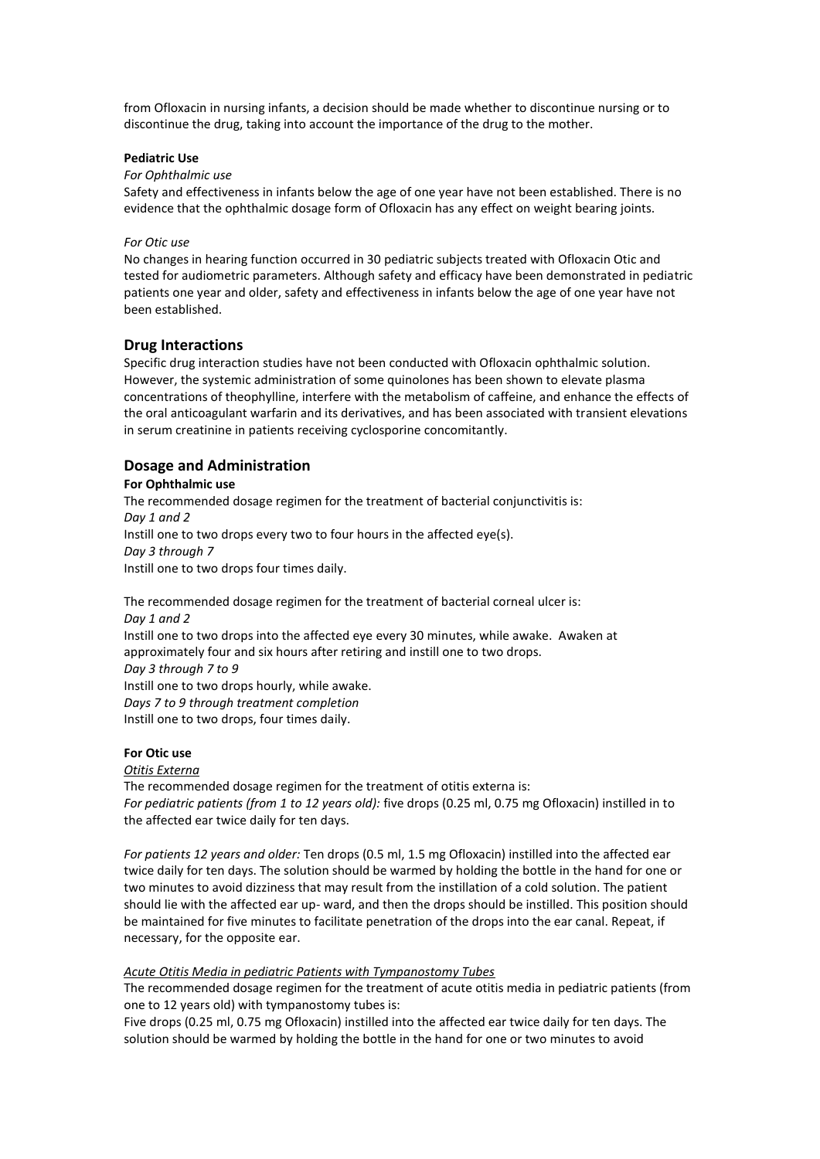from Ofloxacin in nursing infants, a decision should be made whether to discontinue nursing or to discontinue the drug, taking into account the importance of the drug to the mother.

### **Pediatric Use**

# *For Ophthalmic use*

Safety and effectiveness in infants below the age of one year have not been established. There is no evidence that the ophthalmic dosage form of Ofloxacin has any effect on weight bearing joints.

#### *For Otic use*

No changes in hearing function occurred in 30 pediatric subjects treated with Ofloxacin Otic and tested for audiometric parameters. Although safety and efficacy have been demonstrated in pediatric patients one year and older, safety and effectiveness in infants below the age of one year have not been established.

### **Drug Interactions**

Specific drug interaction studies have not been conducted with Ofloxacin ophthalmic solution. However, the systemic administration of some quinolones has been shown to elevate plasma concentrations of theophylline, interfere with the metabolism of caffeine, and enhance the effects of the oral anticoagulant warfarin and its derivatives, and has been associated with transient elevations in serum creatinine in patients receiving cyclosporine concomitantly.

## **Dosage and Administration**

**For Ophthalmic use**

The recommended dosage regimen for the treatment of bacterial conjunctivitis is: *Day 1 and 2* Instill one to two drops every two to four hours in the affected eye(s). *Day 3 through 7* Instill one to two drops four times daily.

The recommended dosage regimen for the treatment of bacterial corneal ulcer is: *Day 1 and 2*  Instill one to two drops into the affected eye every 30 minutes, while awake. Awaken at approximately four and six hours after retiring and instill one to two drops. *Day 3 through 7 to 9* Instill one to two drops hourly, while awake. *Days 7 to 9 through treatment completion* Instill one to two drops, four times daily.

### **For Otic use**

### *Otitis Externa*

The recommended dosage regimen for the treatment of otitis externa is: *For pediatric patients (from 1 to 12 years old):* five drops (0.25 ml, 0.75 mg Ofloxacin) instilled in to the affected ear twice daily for ten days.

*For patients 12 years and older:* Ten drops (0.5 ml, 1.5 mg Ofloxacin) instilled into the affected ear twice daily for ten days. The solution should be warmed by holding the bottle in the hand for one or two minutes to avoid dizziness that may result from the instillation of a cold solution. The patient should lie with the affected ear up- ward, and then the drops should be instilled. This position should be maintained for five minutes to facilitate penetration of the drops into the ear canal. Repeat, if necessary, for the opposite ear.

### *Acute Otitis Media in pediatric Patients with Tympanostomy Tubes*

The recommended dosage regimen for the treatment of acute otitis media in pediatric patients (from one to 12 years old) with tympanostomy tubes is:

Five drops (0.25 ml, 0.75 mg Ofloxacin) instilled into the affected ear twice daily for ten days. The solution should be warmed by holding the bottle in the hand for one or two minutes to avoid